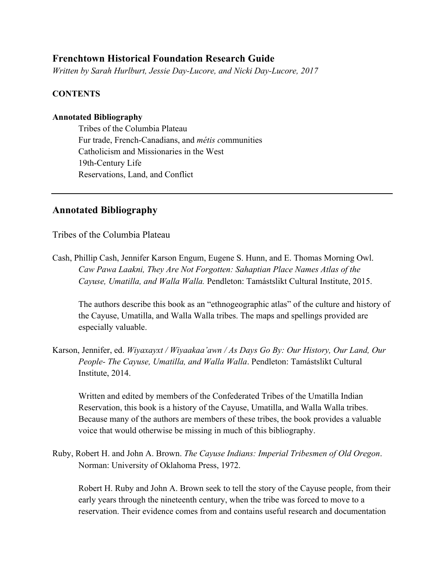## **Frenchtown Historical Foundation Research Guide**

*Written by Sarah Hurlburt, Jessie Day-Lucore, and Nicki Day-Lucore, 2017*

## **CONTENTS**

## **Annotated Bibliography**

Tribes of the Columbia Plateau Fur trade, French-Canadians, and *métis c*ommunities Catholicism and Missionaries in the West 19th-Century Life Reservations, Land, and Conflict

## **Annotated Bibliography**

Tribes of the Columbia Plateau

Cash, Phillip Cash, Jennifer Karson Engum, Eugene S. Hunn, and E. Thomas Morning Owl. *Caw Pawa Laakni, They Are Not Forgotten: Sahaptian Place Names Atlas of the Cayuse, Umatilla, and Walla Walla.* Pendleton: Tamástslikt Cultural Institute, 2015.

The authors describe this book as an "ethnogeographic atlas" of the culture and history of the Cayuse, Umatilla, and Walla Walla tribes. The maps and spellings provided are especially valuable.

Karson, Jennifer, ed. *Wiyaxayxt / Wiyaakaa'awn / As Days Go By: Our History, Our Land, Our People- The Cayuse, Umatilla, and Walla Walla*. Pendleton: Tamástslikt Cultural Institute, 2014.

Written and edited by members of the Confederated Tribes of the Umatilla Indian Reservation, this book is a history of the Cayuse, Umatilla, and Walla Walla tribes. Because many of the authors are members of these tribes, the book provides a valuable voice that would otherwise be missing in much of this bibliography.

Ruby, Robert H. and John A. Brown. *The Cayuse Indians: Imperial Tribesmen of Old Oregon*. Norman: University of Oklahoma Press, 1972.

Robert H. Ruby and John A. Brown seek to tell the story of the Cayuse people, from their early years through the nineteenth century, when the tribe was forced to move to a reservation. Their evidence comes from and contains useful research and documentation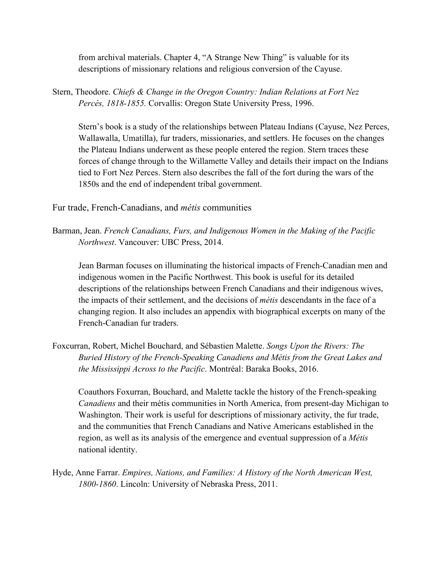from archival materials. Chapter 4, "A Strange New Thing" is valuable for its descriptions of missionary relations and religious conversion of the Cayuse.

Stern, Theodore. *Chiefs & Change in the Oregon Country: Indian Relations at Fort Nez Percés, 1818-1855.* Corvallis: Oregon State University Press, 1996.

Stern's book is a study of the relationships between Plateau Indians (Cayuse, Nez Perces, Wallawalla, Umatilla), fur traders, missionaries, and settlers. He focuses on the changes the Plateau Indians underwent as these people entered the region. Stern traces these forces of change through to the Willamette Valley and details their impact on the Indians tied to Fort Nez Perces. Stern also describes the fall of the fort during the wars of the 1850s and the end of independent tribal government.

Fur trade, French-Canadians, and *métis* communities

Barman, Jean. *French Canadians, Furs, and Indigenous Women in the Making of the Pacific Northwest*. Vancouver: UBC Press, 2014.

Jean Barman focuses on illuminating the historical impacts of French-Canadian men and indigenous women in the Pacific Northwest. This book is useful for its detailed descriptions of the relationships between French Canadians and their indigenous wives, the impacts of their settlement, and the decisions of *métis* descendants in the face of a changing region. It also includes an appendix with biographical excerpts on many of the French-Canadian fur traders.

Foxcurran, Robert, Michel Bouchard, and Sébastien Malette. *Songs Upon the Rivers: The Buried History of the French-Speaking Canadiens and Métis from the Great Lakes and the Mississippi Across to the Pacific*. Montréal: Baraka Books, 2016.

Coauthors Foxurran, Bouchard, and Malette tackle the history of the French-speaking *Canadiens* and their métis communities in North America, from present-day Michigan to Washington. Their work is useful for descriptions of missionary activity, the fur trade, and the communities that French Canadians and Native Americans established in the region, as well as its analysis of the emergence and eventual suppression of a *Métis*  national identity.

Hyde, Anne Farrar. *Empires, Nations, and Families: A History of the North American West, 1800-1860*. Lincoln: University of Nebraska Press, 2011.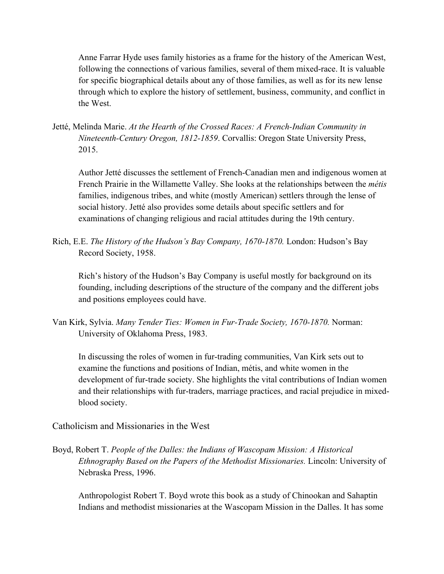Anne Farrar Hyde uses family histories as a frame for the history of the American West, following the connections of various families, several of them mixed-race. It is valuable for specific biographical details about any of those families, as well as for its new lense through which to explore the history of settlement, business, community, and conflict in the West.

Jetté, Melinda Marie. *At the Hearth of the Crossed Races: A French-Indian Community in Nineteenth-Century Oregon, 1812-1859*. Corvallis: Oregon State University Press, 2015.

Author Jetté discusses the settlement of French-Canadian men and indigenous women at French Prairie in the Willamette Valley. She looks at the relationships between the *métis* families, indigenous tribes, and white (mostly American) settlers through the lense of social history. Jetté also provides some details about specific settlers and for examinations of changing religious and racial attitudes during the 19th century.

Rich, E.E. *The History of the Hudson's Bay Company, 1670-1870.* London: Hudson's Bay Record Society, 1958.

Rich's history of the Hudson's Bay Company is useful mostly for background on its founding, including descriptions of the structure of the company and the different jobs and positions employees could have.

Van Kirk, Sylvia. *Many Tender Ties: Women in Fur-Trade Society, 1670-1870.* Norman: University of Oklahoma Press, 1983.

In discussing the roles of women in fur-trading communities, Van Kirk sets out to examine the functions and positions of Indian, métis, and white women in the development of fur-trade society. She highlights the vital contributions of Indian women and their relationships with fur-traders, marriage practices, and racial prejudice in mixedblood society.

Catholicism and Missionaries in the West

Boyd, Robert T. *People of the Dalles: the Indians of Wascopam Mission: A Historical Ethnography Based on the Papers of the Methodist Missionaries.* Lincoln: University of Nebraska Press, 1996.

Anthropologist Robert T. Boyd wrote this book as a study of Chinookan and Sahaptin Indians and methodist missionaries at the Wascopam Mission in the Dalles. It has some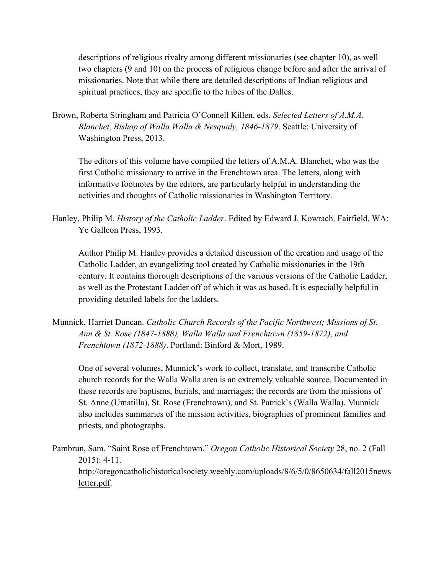descriptions of religious rivalry among different missionaries (see chapter 10), as well two chapters (9 and 10) on the process of religious change before and after the arrival of missionaries. Note that while there are detailed descriptions of Indian religious and spiritual practices, they are specific to the tribes of the Dalles.

Brown, Roberta Stringham and Patricia O'Connell Killen, eds. *Selected Letters of A.M.A. Blanchet, Bishop of Walla Walla & Nesqualy, 1846-1879*. Seattle: University of Washington Press, 2013.

The editors of this volume have compiled the letters of A.M.A. Blanchet, who was the first Catholic missionary to arrive in the Frenchtown area. The letters, along with informative footnotes by the editors, are particularly helpful in understanding the activities and thoughts of Catholic missionaries in Washington Territory.

Hanley, Philip M. *History of the Catholic Ladder*. Edited by Edward J. Kowrach. Fairfield, WA: Ye Galleon Press, 1993.

Author Philip M. Hanley provides a detailed discussion of the creation and usage of the Catholic Ladder, an evangelizing tool created by Catholic missionaries in the 19th century. It contains thorough descriptions of the various versions of the Catholic Ladder, as well as the Protestant Ladder off of which it was as based. It is especially helpful in providing detailed labels for the ladders.

Munnick, Harriet Duncan. *Catholic Church Records of the Pacific Northwest; Missions of St. Ann & St. Rose (1847-1888), Walla Walla and Frenchtown (1859-1872), and Frenchtown (1872-1888)*. Portland: Binford & Mort, 1989.

One of several volumes, Munnick's work to collect, translate, and transcribe Catholic church records for the Walla Walla area is an extremely valuable source. Documented in these records are baptisms, burials, and marriages; the records are from the missions of St. Anne (Umatilla), St. Rose (Frenchtown), and St. Patrick's (Walla Walla). Munnick also includes summaries of the mission activities, biographies of prominent families and priests, and photographs.

Pambrun, Sam. "Saint Rose of Frenchtown." *Oregon Catholic Historical Society* 28, no. 2 (Fall 2015): 4-11. http://oregoncatholichistoricalsociety.weebly.com/uploads/8/6/5/0/8650634/fall2015news letter.pdf.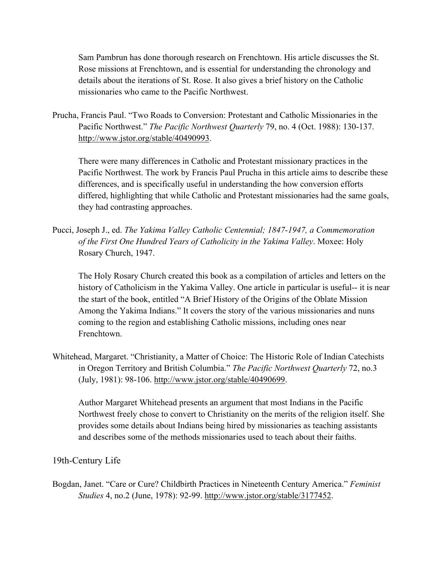Sam Pambrun has done thorough research on Frenchtown. His article discusses the St. Rose missions at Frenchtown, and is essential for understanding the chronology and details about the iterations of St. Rose. It also gives a brief history on the Catholic missionaries who came to the Pacific Northwest.

Prucha, Francis Paul. "Two Roads to Conversion: Protestant and Catholic Missionaries in the Pacific Northwest." *The Pacific Northwest Quarterly* 79, no. 4 (Oct. 1988): 130-137. http://www.jstor.org/stable/40490993.

There were many differences in Catholic and Protestant missionary practices in the Pacific Northwest. The work by Francis Paul Prucha in this article aims to describe these differences, and is specifically useful in understanding the how conversion efforts differed, highlighting that while Catholic and Protestant missionaries had the same goals, they had contrasting approaches.

Pucci, Joseph J., ed. *The Yakima Valley Catholic Centennial; 1847-1947, a Commemoration of the First One Hundred Years of Catholicity in the Yakima Valley*. Moxee: Holy Rosary Church, 1947.

The Holy Rosary Church created this book as a compilation of articles and letters on the history of Catholicism in the Yakima Valley. One article in particular is useful-- it is near the start of the book, entitled "A Brief History of the Origins of the Oblate Mission Among the Yakima Indians." It covers the story of the various missionaries and nuns coming to the region and establishing Catholic missions, including ones near Frenchtown.

Whitehead, Margaret. "Christianity, a Matter of Choice: The Historic Role of Indian Catechists in Oregon Territory and British Columbia." *The Pacific Northwest Quarterly* 72, no.3 (July, 1981): 98-106. http://www.jstor.org/stable/40490699.

Author Margaret Whitehead presents an argument that most Indians in the Pacific Northwest freely chose to convert to Christianity on the merits of the religion itself. She provides some details about Indians being hired by missionaries as teaching assistants and describes some of the methods missionaries used to teach about their faiths.

19th-Century Life

Bogdan, Janet. "Care or Cure? Childbirth Practices in Nineteenth Century America." *Feminist Studies* 4, no.2 (June, 1978): 92-99. http://www.jstor.org/stable/3177452.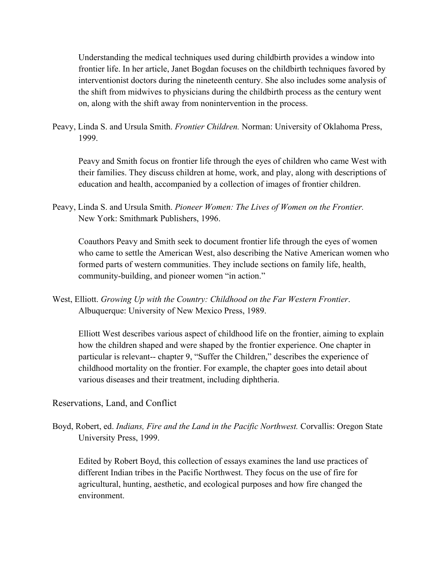Understanding the medical techniques used during childbirth provides a window into frontier life. In her article, Janet Bogdan focuses on the childbirth techniques favored by interventionist doctors during the nineteenth century. She also includes some analysis of the shift from midwives to physicians during the childbirth process as the century went on, along with the shift away from nonintervention in the process.

Peavy, Linda S. and Ursula Smith. *Frontier Children.* Norman: University of Oklahoma Press, 1999.

Peavy and Smith focus on frontier life through the eyes of children who came West with their families. They discuss children at home, work, and play, along with descriptions of education and health, accompanied by a collection of images of frontier children.

Peavy, Linda S. and Ursula Smith. *Pioneer Women: The Lives of Women on the Frontier.*  New York: Smithmark Publishers, 1996.

Coauthors Peavy and Smith seek to document frontier life through the eyes of women who came to settle the American West, also describing the Native American women who formed parts of western communities. They include sections on family life, health, community-building, and pioneer women "in action."

West, Elliott. *Growing Up with the Country: Childhood on the Far Western Frontier*. Albuquerque: University of New Mexico Press, 1989.

Elliott West describes various aspect of childhood life on the frontier, aiming to explain how the children shaped and were shaped by the frontier experience. One chapter in particular is relevant-- chapter 9, "Suffer the Children," describes the experience of childhood mortality on the frontier. For example, the chapter goes into detail about various diseases and their treatment, including diphtheria.

Reservations, Land, and Conflict

Boyd, Robert, ed. *Indians, Fire and the Land in the Pacific Northwest.* Corvallis: Oregon State University Press, 1999.

Edited by Robert Boyd, this collection of essays examines the land use practices of different Indian tribes in the Pacific Northwest. They focus on the use of fire for agricultural, hunting, aesthetic, and ecological purposes and how fire changed the environment.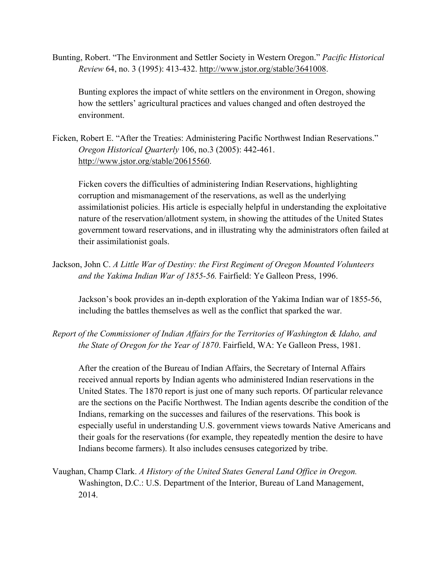Bunting, Robert. "The Environment and Settler Society in Western Oregon." *Pacific Historical Review* 64, no. 3 (1995): 413-432. http://www.jstor.org/stable/3641008.

Bunting explores the impact of white settlers on the environment in Oregon, showing how the settlers' agricultural practices and values changed and often destroyed the environment.

Ficken, Robert E. "After the Treaties: Administering Pacific Northwest Indian Reservations." *Oregon Historical Quarterly* 106, no.3 (2005): 442-461. http://www.jstor.org/stable/20615560.

Ficken covers the difficulties of administering Indian Reservations, highlighting corruption and mismanagement of the reservations, as well as the underlying assimilationist policies. His article is especially helpful in understanding the exploitative nature of the reservation/allotment system, in showing the attitudes of the United States government toward reservations, and in illustrating why the administrators often failed at their assimilationist goals.

Jackson, John C. *A Little War of Destiny: the First Regiment of Oregon Mounted Volunteers and the Yakima Indian War of 1855-56.* Fairfield: Ye Galleon Press, 1996.

Jackson's book provides an in-depth exploration of the Yakima Indian war of 1855-56, including the battles themselves as well as the conflict that sparked the war.

*Report of the Commissioner of Indian Affairs for the Territories of Washington & Idaho, and the State of Oregon for the Year of 1870*. Fairfield, WA: Ye Galleon Press, 1981.

After the creation of the Bureau of Indian Affairs, the Secretary of Internal Affairs received annual reports by Indian agents who administered Indian reservations in the United States. The 1870 report is just one of many such reports. Of particular relevance are the sections on the Pacific Northwest. The Indian agents describe the condition of the Indians, remarking on the successes and failures of the reservations. This book is especially useful in understanding U.S. government views towards Native Americans and their goals for the reservations (for example, they repeatedly mention the desire to have Indians become farmers). It also includes censuses categorized by tribe.

Vaughan, Champ Clark. *A History of the United States General Land Office in Oregon.*  Washington, D.C.: U.S. Department of the Interior, Bureau of Land Management, 2014.